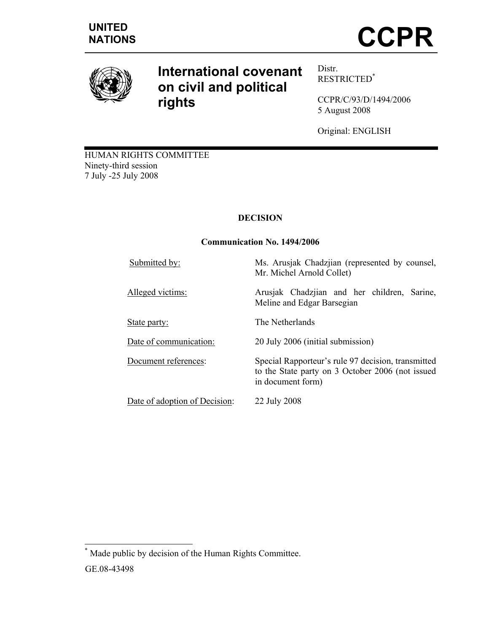

# **International covenant on civil and political rights**

Distr. RESTRICTED\*

CCPR/C/93/D/1494/2006 5 August 2008

Original: ENGLISH

HUMAN RIGHTS COMMITTEE Ninety-third session 7 July -25 July 2008

## **DECISION**

## **Communication No. 1494/2006**

| Submitted by:                 | Ms. Arusjak Chadzjian (represented by counsel,<br>Mr. Michel Arnold Collet)                                                 |
|-------------------------------|-----------------------------------------------------------------------------------------------------------------------------|
| Alleged victims:              | Arusjak Chadzjian and her children, Sarine,<br>Meline and Edgar Barsegian                                                   |
| State party:                  | The Netherlands                                                                                                             |
| Date of communication:        | 20 July 2006 (initial submission)                                                                                           |
| Document references:          | Special Rapporteur's rule 97 decision, transmitted<br>to the State party on 3 October 2006 (not issued<br>in document form) |
| Date of adoption of Decision: | 22 July 2008                                                                                                                |

 \* Made public by decision of the Human Rights Committee.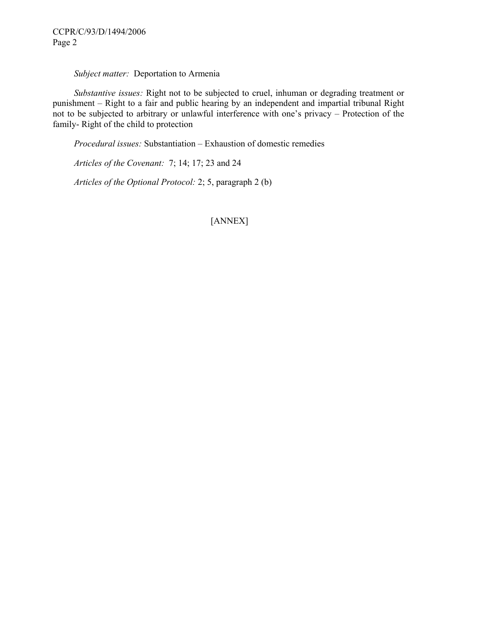### *Subject matter:* Deportation to Armenia

 *Substantive issues:* Right not to be subjected to cruel, inhuman or degrading treatment or punishment – Right to a fair and public hearing by an independent and impartial tribunal Right not to be subjected to arbitrary or unlawful interference with one's privacy – Protection of the family- Right of the child to protection

 *Procedural issues:* Substantiation – Exhaustion of domestic remedies

 *Articles of the Covenant:* 7; 14; 17; 23 and 24

 *Articles of the Optional Protocol:* 2; 5, paragraph 2 (b)

[ANNEX]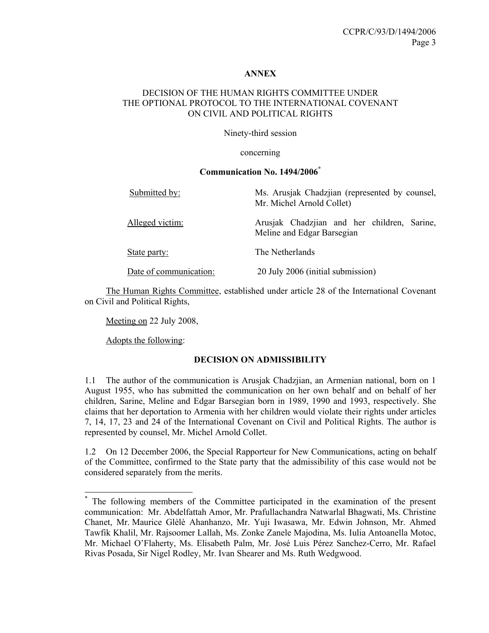#### **ANNEX**

## DECISION OF THE HUMAN RIGHTS COMMITTEE UNDER THE OPTIONAL PROTOCOL TO THE INTERNATIONAL COVENANT ON CIVIL AND POLITICAL RIGHTS

Ninety-third session

concerning

#### **Communication No. 1494/2006\***

| Submitted by:          | Ms. Arusjak Chadzjian (represented by counsel,<br>Mr. Michel Arnold Collet) |
|------------------------|-----------------------------------------------------------------------------|
| Alleged victim:        | Arusjak Chadzjian and her children, Sarine,<br>Meline and Edgar Barsegian   |
| State party:           | The Netherlands                                                             |
| Date of communication: | 20 July 2006 (initial submission)                                           |

 The Human Rights Committee, established under article 28 of the International Covenant on Civil and Political Rights,

Meeting on 22 July 2008,

Adopts the following:

 $\overline{a}$ 

#### **DECISION ON ADMISSIBILITY**

1.1 The author of the communication is Arusjak Chadzjian, an Armenian national, born on 1 August 1955, who has submitted the communication on her own behalf and on behalf of her children, Sarine, Meline and Edgar Barsegian born in 1989, 1990 and 1993, respectively. She claims that her deportation to Armenia with her children would violate their rights under articles 7, 14, 17, 23 and 24 of the International Covenant on Civil and Political Rights. The author is represented by counsel, Mr. Michel Arnold Collet.

1.2 On 12 December 2006, the Special Rapporteur for New Communications, acting on behalf of the Committee, confirmed to the State party that the admissibility of this case would not be considered separately from the merits.

<sup>\*</sup> The following members of the Committee participated in the examination of the present communication: Mr. Abdelfattah Amor, Mr. Prafullachandra Natwarlal Bhagwati, Ms. Christine Chanet, Mr. Maurice Glèlè Ahanhanzo, Mr. Yuji Iwasawa, Mr. Edwin Johnson, Mr. Ahmed Tawfik Khalil, Mr. Rajsoomer Lallah, Ms. Zonke Zanele Majodina, Ms. Iulia Antoanella Motoc, Mr. Michael O'Flaherty, Ms. Elisabeth Palm, Mr. José Luis Pérez Sanchez-Cerro, Mr. Rafael Rivas Posada, Sir Nigel Rodley, Mr. Ivan Shearer and Ms. Ruth Wedgwood.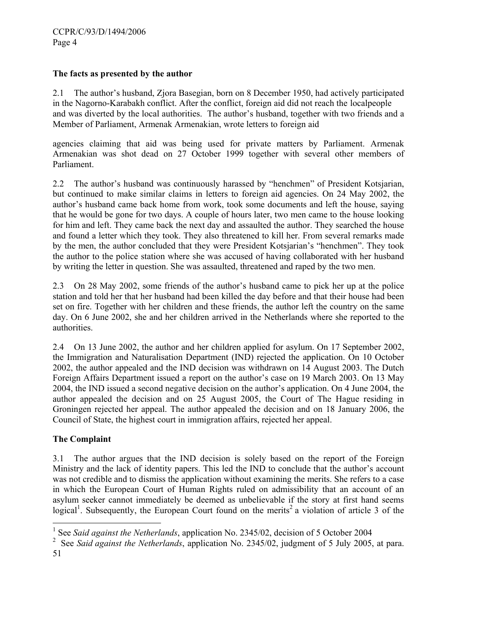## **The facts as presented by the author**

2.1 The author's husband, Zjora Basegian, born on 8 December 1950, had actively participated in the Nagorno-Karabakh conflict. After the conflict, foreign aid did not reach the localpeople and was diverted by the local authorities. The author's husband, together with two friends and a Member of Parliament, Armenak Armenakian, wrote letters to foreign aid

agencies claiming that aid was being used for private matters by Parliament. Armenak Armenakian was shot dead on 27 October 1999 together with several other members of Parliament.

2.2 The author's husband was continuously harassed by "henchmen" of President Kotsjarian, but continued to make similar claims in letters to foreign aid agencies. On 24 May 2002, the author's husband came back home from work, took some documents and left the house, saying that he would be gone for two days. A couple of hours later, two men came to the house looking for him and left. They came back the next day and assaulted the author. They searched the house and found a letter which they took. They also threatened to kill her. From several remarks made by the men, the author concluded that they were President Kotsjarian's "henchmen". They took the author to the police station where she was accused of having collaborated with her husband by writing the letter in question. She was assaulted, threatened and raped by the two men.

2.3 On 28 May 2002, some friends of the author's husband came to pick her up at the police station and told her that her husband had been killed the day before and that their house had been set on fire. Together with her children and these friends, the author left the country on the same day. On 6 June 2002, she and her children arrived in the Netherlands where she reported to the authorities.

2.4 On 13 June 2002, the author and her children applied for asylum. On 17 September 2002, the Immigration and Naturalisation Department (IND) rejected the application. On 10 October 2002, the author appealed and the IND decision was withdrawn on 14 August 2003. The Dutch Foreign Affairs Department issued a report on the author's case on 19 March 2003. On 13 May 2004, the IND issued a second negative decision on the author's application. On 4 June 2004, the author appealed the decision and on 25 August 2005, the Court of The Hague residing in Groningen rejected her appeal. The author appealed the decision and on 18 January 2006, the Council of State, the highest court in immigration affairs, rejected her appeal.

## **The Complaint**

3.1 The author argues that the IND decision is solely based on the report of the Foreign Ministry and the lack of identity papers. This led the IND to conclude that the author's account was not credible and to dismiss the application without examining the merits. She refers to a case in which the European Court of Human Rights ruled on admissibility that an account of an asylum seeker cannot immediately be deemed as unbelievable if the story at first hand seems logical<sup>1</sup>. Subsequently, the European Court found on the merits<sup>2</sup> a violation of article 3 of the

l

<sup>&</sup>lt;sup>1</sup> See *Said against the Netherlands*, application No. 2345/02, decision of 5 October 2004

<sup>2</sup> See *Said against the Netherlands*, application No. 2345/02, judgment of 5 July 2005, at para.

<sup>51</sup>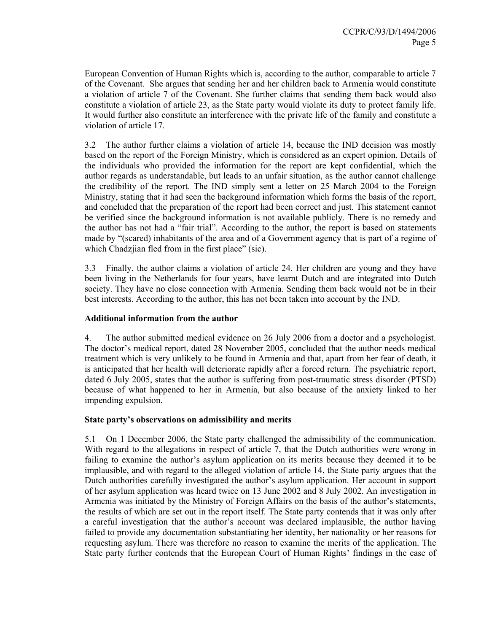European Convention of Human Rights which is, according to the author, comparable to article 7 of the Covenant. She argues that sending her and her children back to Armenia would constitute a violation of article 7 of the Covenant. She further claims that sending them back would also constitute a violation of article 23, as the State party would violate its duty to protect family life. It would further also constitute an interference with the private life of the family and constitute a violation of article 17.

3.2 The author further claims a violation of article 14, because the IND decision was mostly based on the report of the Foreign Ministry, which is considered as an expert opinion. Details of the individuals who provided the information for the report are kept confidential, which the author regards as understandable, but leads to an unfair situation, as the author cannot challenge the credibility of the report. The IND simply sent a letter on 25 March 2004 to the Foreign Ministry, stating that it had seen the background information which forms the basis of the report, and concluded that the preparation of the report had been correct and just. This statement cannot be verified since the background information is not available publicly. There is no remedy and the author has not had a "fair trial". According to the author, the report is based on statements made by "(scared) inhabitants of the area and of a Government agency that is part of a regime of which Chadzjian fled from in the first place" (sic).

3.3 Finally, the author claims a violation of article 24. Her children are young and they have been living in the Netherlands for four years, have learnt Dutch and are integrated into Dutch society. They have no close connection with Armenia. Sending them back would not be in their best interests. According to the author, this has not been taken into account by the IND.

#### **Additional information from the author**

4. The author submitted medical evidence on 26 July 2006 from a doctor and a psychologist. The doctor's medical report, dated 28 November 2005, concluded that the author needs medical treatment which is very unlikely to be found in Armenia and that, apart from her fear of death, it is anticipated that her health will deteriorate rapidly after a forced return. The psychiatric report, dated 6 July 2005, states that the author is suffering from post-traumatic stress disorder (PTSD) because of what happened to her in Armenia, but also because of the anxiety linked to her impending expulsion.

## **State party's observations on admissibility and merits**

5.1 On 1 December 2006, the State party challenged the admissibility of the communication. With regard to the allegations in respect of article 7, that the Dutch authorities were wrong in failing to examine the author's asylum application on its merits because they deemed it to be implausible, and with regard to the alleged violation of article 14, the State party argues that the Dutch authorities carefully investigated the author's asylum application. Her account in support of her asylum application was heard twice on 13 June 2002 and 8 July 2002. An investigation in Armenia was initiated by the Ministry of Foreign Affairs on the basis of the author's statements, the results of which are set out in the report itself. The State party contends that it was only after a careful investigation that the author's account was declared implausible, the author having failed to provide any documentation substantiating her identity, her nationality or her reasons for requesting asylum. There was therefore no reason to examine the merits of the application. The State party further contends that the European Court of Human Rights' findings in the case of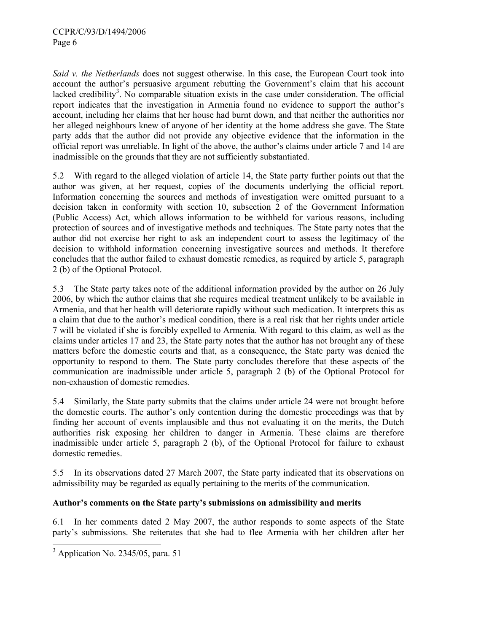*Said v. the Netherlands* does not suggest otherwise. In this case, the European Court took into account the author's persuasive argument rebutting the Government's claim that his account lacked credibility<sup>3</sup>. No comparable situation exists in the case under consideration. The official report indicates that the investigation in Armenia found no evidence to support the author's account, including her claims that her house had burnt down, and that neither the authorities nor her alleged neighbours knew of anyone of her identity at the home address she gave. The State party adds that the author did not provide any objective evidence that the information in the official report was unreliable. In light of the above, the author's claims under article 7 and 14 are inadmissible on the grounds that they are not sufficiently substantiated.

5.2 With regard to the alleged violation of article 14, the State party further points out that the author was given, at her request, copies of the documents underlying the official report. Information concerning the sources and methods of investigation were omitted pursuant to a decision taken in conformity with section 10, subsection 2 of the Government Information (Public Access) Act, which allows information to be withheld for various reasons, including protection of sources and of investigative methods and techniques. The State party notes that the author did not exercise her right to ask an independent court to assess the legitimacy of the decision to withhold information concerning investigative sources and methods. It therefore concludes that the author failed to exhaust domestic remedies, as required by article 5, paragraph 2 (b) of the Optional Protocol.

5.3 The State party takes note of the additional information provided by the author on 26 July 2006, by which the author claims that she requires medical treatment unlikely to be available in Armenia, and that her health will deteriorate rapidly without such medication. It interprets this as a claim that due to the author's medical condition, there is a real risk that her rights under article 7 will be violated if she is forcibly expelled to Armenia. With regard to this claim, as well as the claims under articles 17 and 23, the State party notes that the author has not brought any of these matters before the domestic courts and that, as a consequence, the State party was denied the opportunity to respond to them. The State party concludes therefore that these aspects of the communication are inadmissible under article 5, paragraph 2 (b) of the Optional Protocol for non-exhaustion of domestic remedies.

5.4 Similarly, the State party submits that the claims under article 24 were not brought before the domestic courts. The author's only contention during the domestic proceedings was that by finding her account of events implausible and thus not evaluating it on the merits, the Dutch authorities risk exposing her children to danger in Armenia. These claims are therefore inadmissible under article 5, paragraph 2 (b), of the Optional Protocol for failure to exhaust domestic remedies.

5.5 In its observations dated 27 March 2007, the State party indicated that its observations on admissibility may be regarded as equally pertaining to the merits of the communication.

## **Author's comments on the State party's submissions on admissibility and merits**

6.1 In her comments dated 2 May 2007, the author responds to some aspects of the State party's submissions. She reiterates that she had to flee Armenia with her children after her

<sup>&</sup>lt;sup>3</sup> Application No. 2345/05, para. 51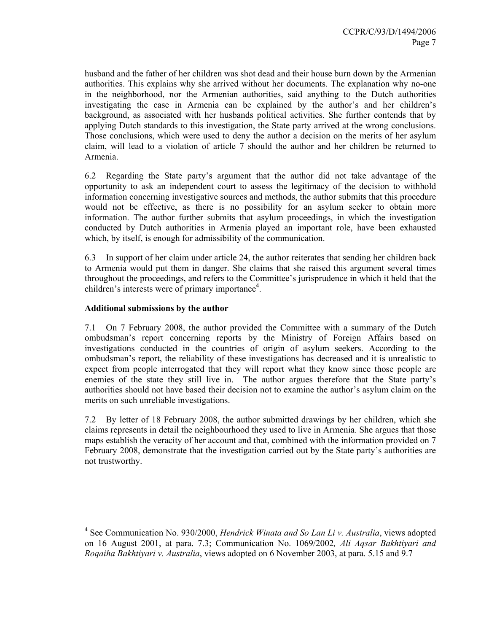husband and the father of her children was shot dead and their house burn down by the Armenian authorities. This explains why she arrived without her documents. The explanation why no-one in the neighborhood, nor the Armenian authorities, said anything to the Dutch authorities investigating the case in Armenia can be explained by the author's and her children's background, as associated with her husbands political activities. She further contends that by applying Dutch standards to this investigation, the State party arrived at the wrong conclusions. Those conclusions, which were used to deny the author a decision on the merits of her asylum claim, will lead to a violation of article 7 should the author and her children be returned to Armenia.

6.2 Regarding the State party's argument that the author did not take advantage of the opportunity to ask an independent court to assess the legitimacy of the decision to withhold information concerning investigative sources and methods, the author submits that this procedure would not be effective, as there is no possibility for an asylum seeker to obtain more information. The author further submits that asylum proceedings, in which the investigation conducted by Dutch authorities in Armenia played an important role, have been exhausted which, by itself, is enough for admissibility of the communication.

6.3 In support of her claim under article 24, the author reiterates that sending her children back to Armenia would put them in danger. She claims that she raised this argument several times throughout the proceedings, and refers to the Committee's jurisprudence in which it held that the children's interests were of primary importance<sup>4</sup>.

### **Additional submissions by the author**

 $\overline{a}$ 

7.1 On 7 February 2008, the author provided the Committee with a summary of the Dutch ombudsman's report concerning reports by the Ministry of Foreign Affairs based on investigations conducted in the countries of origin of asylum seekers. According to the ombudsman's report, the reliability of these investigations has decreased and it is unrealistic to expect from people interrogated that they will report what they know since those people are enemies of the state they still live in. The author argues therefore that the State party's authorities should not have based their decision not to examine the author's asylum claim on the merits on such unreliable investigations.

7.2 By letter of 18 February 2008, the author submitted drawings by her children, which she claims represents in detail the neighbourhood they used to live in Armenia. She argues that those maps establish the veracity of her account and that, combined with the information provided on 7 February 2008, demonstrate that the investigation carried out by the State party's authorities are not trustworthy.

<sup>4</sup> See Communication No. 930/2000, *Hendrick Winata and So Lan Li v. Australia*, views adopted on 16 August 2001, at para. 7.3; Communication No. 1069/2002*, Ali Aqsar Bakhtiyari and Roqaiha Bakhtiyari v. Australia*, views adopted on 6 November 2003, at para. 5.15 and 9.7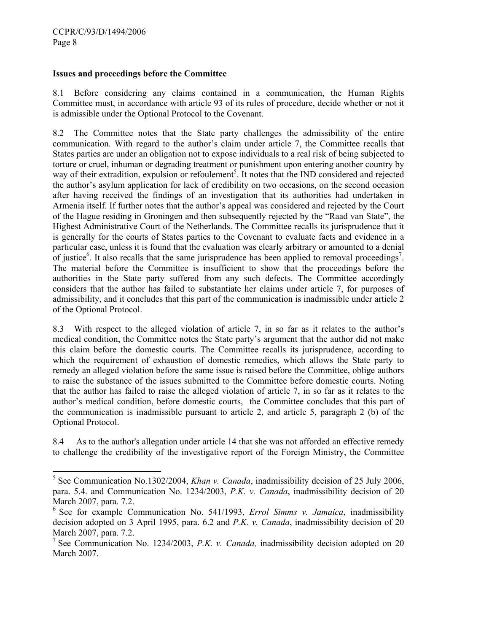l

### **Issues and proceedings before the Committee**

8.1 Before considering any claims contained in a communication, the Human Rights Committee must, in accordance with article 93 of its rules of procedure, decide whether or not it is admissible under the Optional Protocol to the Covenant.

8.2 The Committee notes that the State party challenges the admissibility of the entire communication. With regard to the author's claim under article 7, the Committee recalls that States parties are under an obligation not to expose individuals to a real risk of being subjected to torture or cruel, inhuman or degrading treatment or punishment upon entering another country by way of their extradition, expulsion or refoulement<sup>5</sup>. It notes that the IND considered and rejected the author's asylum application for lack of credibility on two occasions, on the second occasion after having received the findings of an investigation that its authorities had undertaken in Armenia itself. If further notes that the author's appeal was considered and rejected by the Court of the Hague residing in Groningen and then subsequently rejected by the "Raad van State", the Highest Administrative Court of the Netherlands. The Committee recalls its jurisprudence that it is generally for the courts of States parties to the Covenant to evaluate facts and evidence in a particular case, unless it is found that the evaluation was clearly arbitrary or amounted to a denial of justice<sup>6</sup>. It also recalls that the same jurisprudence has been applied to removal proceedings<sup>7</sup>. The material before the Committee is insufficient to show that the proceedings before the authorities in the State party suffered from any such defects. The Committee accordingly considers that the author has failed to substantiate her claims under article 7, for purposes of admissibility, and it concludes that this part of the communication is inadmissible under article 2 of the Optional Protocol.

8.3 With respect to the alleged violation of article 7, in so far as it relates to the author's medical condition, the Committee notes the State party's argument that the author did not make this claim before the domestic courts. The Committee recalls its jurisprudence, according to which the requirement of exhaustion of domestic remedies, which allows the State party to remedy an alleged violation before the same issue is raised before the Committee, oblige authors to raise the substance of the issues submitted to the Committee before domestic courts. Noting that the author has failed to raise the alleged violation of article 7, in so far as it relates to the author's medical condition, before domestic courts, the Committee concludes that this part of the communication is inadmissible pursuant to article 2, and article 5, paragraph 2 (b) of the Optional Protocol.

8.4 As to the author's allegation under article 14 that she was not afforded an effective remedy to challenge the credibility of the investigative report of the Foreign Ministry, the Committee

<sup>&</sup>lt;sup>5</sup> See Communication No.1302/2004, *Khan v. Canada*, inadmissibility decision of 25 July 2006, para. 5.4. and Communication No. 1234/2003, *P.K. v. Canada*, inadmissibility decision of 20 March 2007, para. 7.2.

<sup>6</sup> See for example Communication No. 541/1993, *Errol Simms v. Jamaica*, inadmissibility decision adopted on 3 April 1995, para. 6.2 and *P.K. v. Canada*, inadmissibility decision of 20 March 2007, para. 7.2.

<sup>7</sup> See Communication No. 1234/2003, *P.K. v. Canada,* inadmissibility decision adopted on 20 March 2007.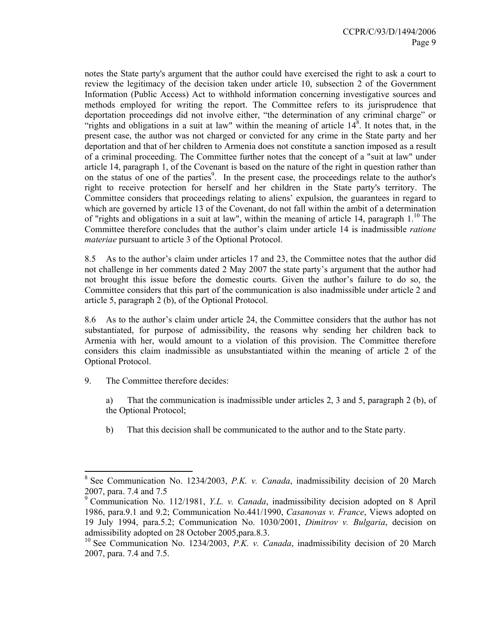notes the State party's argument that the author could have exercised the right to ask a court to review the legitimacy of the decision taken under article 10, subsection 2 of the Government Information (Public Access) Act to withhold information concerning investigative sources and methods employed for writing the report. The Committee refers to its jurisprudence that deportation proceedings did not involve either, "the determination of any criminal charge" or "rights and obligations in a suit at law" within the meaning of article  $14^8$ . It notes that, in the present case, the author was not charged or convicted for any crime in the State party and her deportation and that of her children to Armenia does not constitute a sanction imposed as a result of a criminal proceeding. The Committee further notes that the concept of a "suit at law" under article 14, paragraph 1, of the Covenant is based on the nature of the right in question rather than on the status of one of the parties<sup>9</sup>. In the present case, the proceedings relate to the author's right to receive protection for herself and her children in the State party's territory. The Committee considers that proceedings relating to aliens' expulsion, the guarantees in regard to which are governed by article 13 of the Covenant, do not fall within the ambit of a determination of "rights and obligations in a suit at law", within the meaning of article 14, paragraph  $1.^{10}$  The Committee therefore concludes that the author's claim under article 14 is inadmissible *ratione materiae* pursuant to article 3 of the Optional Protocol.

8.5 As to the author's claim under articles 17 and 23, the Committee notes that the author did not challenge in her comments dated 2 May 2007 the state party's argument that the author had not brought this issue before the domestic courts. Given the author's failure to do so, the Committee considers that this part of the communication is also inadmissible under article 2 and article 5, paragraph 2 (b), of the Optional Protocol.

8.6 As to the author's claim under article 24, the Committee considers that the author has not substantiated, for purpose of admissibility, the reasons why sending her children back to Armenia with her, would amount to a violation of this provision. The Committee therefore considers this claim inadmissible as unsubstantiated within the meaning of article 2 of the Optional Protocol.

9. The Committee therefore decides:

 $\overline{a}$ 

a) That the communication is inadmissible under articles 2, 3 and 5, paragraph 2 (b), of the Optional Protocol;

b) That this decision shall be communicated to the author and to the State party.

<sup>8</sup> See Communication No. 1234/2003, *P.K. v. Canada*, inadmissibility decision of 20 March 2007, para. 7.4 and 7.5

<sup>9</sup> Communication No. 112/1981, *Y.L. v. Canada*, inadmissibility decision adopted on 8 April 1986, para.9.1 and 9.2; Communication No.441/1990, *Casanovas v. France*, Views adopted on 19 July 1994, para.5.2; Communication No. 1030/2001, *Dimitrov v. Bulgaria*, decision on admissibility adopted on 28 October 2005,para.8.3.

<sup>&</sup>lt;sup>10</sup> See Communication No. 1234/2003, *P.K. v. Canada*, inadmissibility decision of 20 March 2007, para. 7.4 and 7.5.